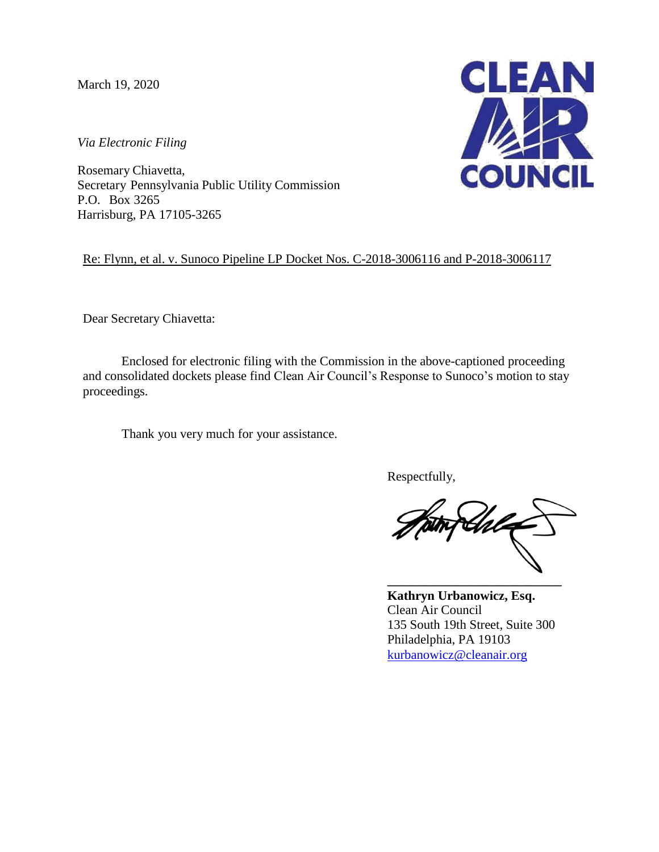March 19, 2020

*Via Electronic Filing*

Rosemary Chiavetta, Secretary Pennsylvania Public Utility Commission P.O. Box 3265 Harrisburg, PA 17105-3265



Re: Flynn, et al. v. Sunoco Pipeline LP Docket Nos. C-2018-3006116 and P-2018-3006117

Dear Secretary Chiavetta:

Enclosed for electronic filing with the Commission in the above-captioned proceeding and consolidated dockets please find Clean Air Council's Response to Sunoco's motion to stay proceedings.

Thank you very much for your assistance.

Respectfully,

Khl **\_\_\_\_\_\_\_\_\_\_\_\_\_\_\_\_\_\_\_\_\_\_\_\_\_\_\_**

**Kathryn Urbanowicz, Esq.** Clean Air Council 135 South 19th Street, Suite 300 Philadelphia, PA 19103 [kurbanowicz@cleanair.org](mailto:kurbanowicz@cleanair.org)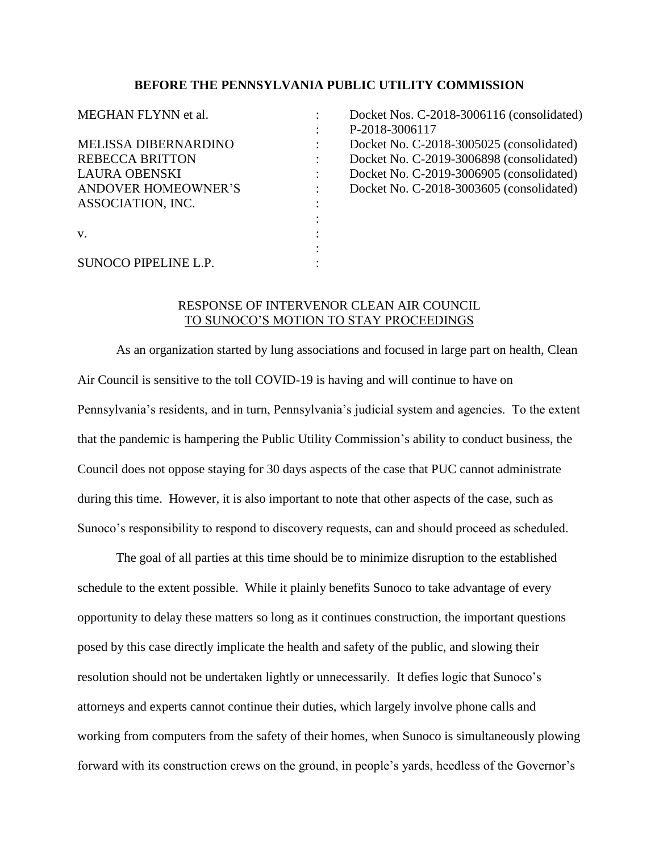## **BEFORE THE PENNSYLVANIA PUBLIC UTILITY COMMISSION**

| MEGHAN FLYNN et al.         | Docket Nos. C-2018-3006116 (consolidated) |
|-----------------------------|-------------------------------------------|
|                             | P-2018-3006117                            |
| <b>MELISSA DIBERNARDINO</b> | Docket No. C-2018-3005025 (consolidated)  |
| <b>REBECCA BRITTON</b>      | Docket No. C-2019-3006898 (consolidated)  |
| LAURA OBENSKI               | Docket No. C-2019-3006905 (consolidated)  |
| <b>ANDOVER HOMEOWNER'S</b>  | Docket No. C-2018-3003605 (consolidated)  |
| ASSOCIATION, INC.           |                                           |
|                             |                                           |
| V.                          |                                           |
|                             |                                           |
| <b>SUNOCO PIPELINE L.P.</b> |                                           |

## RESPONSE OF INTERVENOR CLEAN AIR COUNCIL TO SUNOCO'S MOTION TO STAY PROCEEDINGS

As an organization started by lung associations and focused in large part on health, Clean Air Council is sensitive to the toll COVID-19 is having and will continue to have on Pennsylvania's residents, and in turn, Pennsylvania's judicial system and agencies. To the extent that the pandemic is hampering the Public Utility Commission's ability to conduct business, the Council does not oppose staying for 30 days aspects of the case that PUC cannot administrate during this time. However, it is also important to note that other aspects of the case, such as Sunoco's responsibility to respond to discovery requests, can and should proceed as scheduled.

The goal of all parties at this time should be to minimize disruption to the established schedule to the extent possible. While it plainly benefits Sunoco to take advantage of every opportunity to delay these matters so long as it continues construction, the important questions posed by this case directly implicate the health and safety of the public, and slowing their resolution should not be undertaken lightly or unnecessarily. It defies logic that Sunoco's attorneys and experts cannot continue their duties, which largely involve phone calls and working from computers from the safety of their homes, when Sunoco is simultaneously plowing forward with its construction crews on the ground, in people's yards, heedless of the Governor's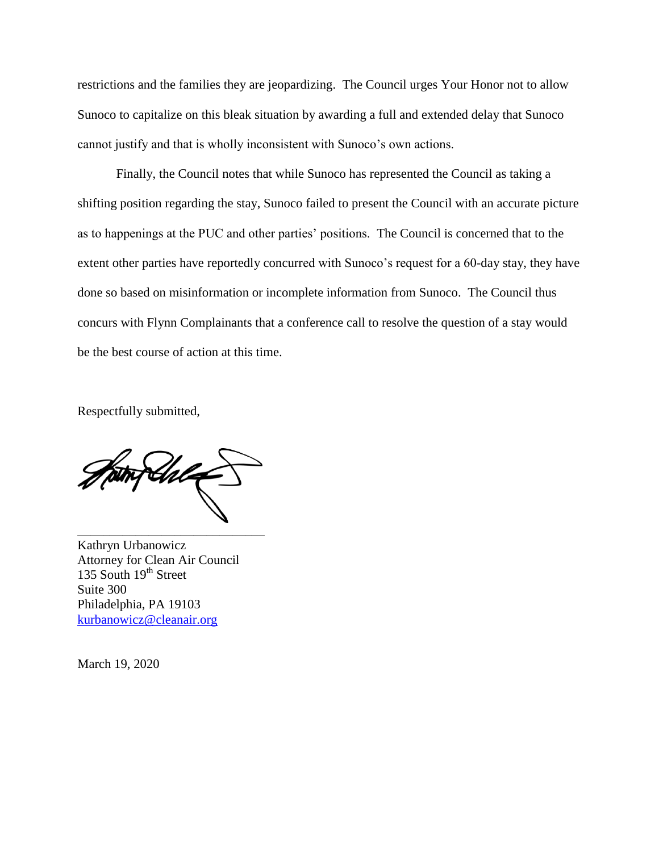restrictions and the families they are jeopardizing. The Council urges Your Honor not to allow Sunoco to capitalize on this bleak situation by awarding a full and extended delay that Sunoco cannot justify and that is wholly inconsistent with Sunoco's own actions.

Finally, the Council notes that while Sunoco has represented the Council as taking a shifting position regarding the stay, Sunoco failed to present the Council with an accurate picture as to happenings at the PUC and other parties' positions. The Council is concerned that to the extent other parties have reportedly concurred with Sunoco's request for a 60-day stay, they have done so based on misinformation or incomplete information from Sunoco. The Council thus concurs with Flynn Complainants that a conference call to resolve the question of a stay would be the best course of action at this time.

Respectfully submitted,

\_\_\_\_\_\_\_\_\_\_\_\_\_\_\_\_\_\_\_\_\_\_\_\_\_\_\_\_\_

Kathryn Urbanowicz Attorney for Clean Air Council 135 South  $19<sup>th</sup>$  Street Suite 300 Philadelphia, PA 19103 [kurbanowicz@cleanair.org](mailto:kurbanowicz@cleanair.org)

March 19, 2020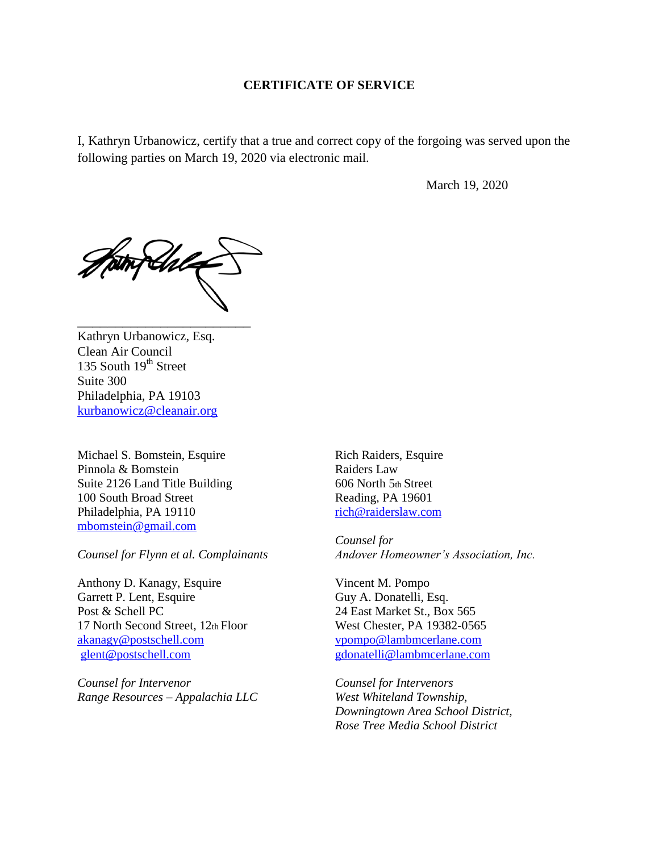## **CERTIFICATE OF SERVICE**

I, Kathryn Urbanowicz, certify that a true and correct copy of the forgoing was served upon the following parties on March 19, 2020 via electronic mail.

March 19, 2020

fArl

\_\_\_\_\_\_\_\_\_\_\_\_\_\_\_\_\_\_\_\_\_\_\_

Kathryn Urbanowicz, Esq. Clean Air Council 135 South  $19<sup>th</sup>$  Street Suite 300 Philadelphia, PA 19103 [kurbanowicz@cleanair.org](mailto:kurbanowicz@cleanair.org)

Michael S. Bomstein, Esquire Pinnola & Bomstein Suite 2126 Land Title Building 100 South Broad Street Philadelphia, PA 19110 [mbomstein@gmail.com](mailto:mbomstein@gmail.com)

*Counsel for Flynn et al. Complainants* 

Anthony D. Kanagy, Esquire Garrett P. Lent, Esquire Post & Schell PC 17 North Second Street, 12th Floor [akanagy@postschell.com](mailto:akanagy@postschell.com) [glent@postschell.com](mailto:glent@postschell.com)

*Counsel for Intervenor Range Resources – Appalachia LLC*  Rich Raiders, Esquire Raiders Law 606 North 5th Street Reading, PA 19601 [rich@raiderslaw.com](mailto:rich@raiderslaw.com)

*Counsel for Andover Homeowner's Association, Inc.* 

Vincent M. Pompo Guy A. Donatelli, Esq. 24 East Market St., Box 565 West Chester, PA 19382-0565 [vpompo@lambmcerlane.com](mailto:vpompo@lambmcerlane.com) [gdonatelli@lambmcerlane.com](mailto:gdonatelli@lambmcerlane.com)

*Counsel for Intervenors West Whiteland Township, Downingtown Area School District, Rose Tree Media School District*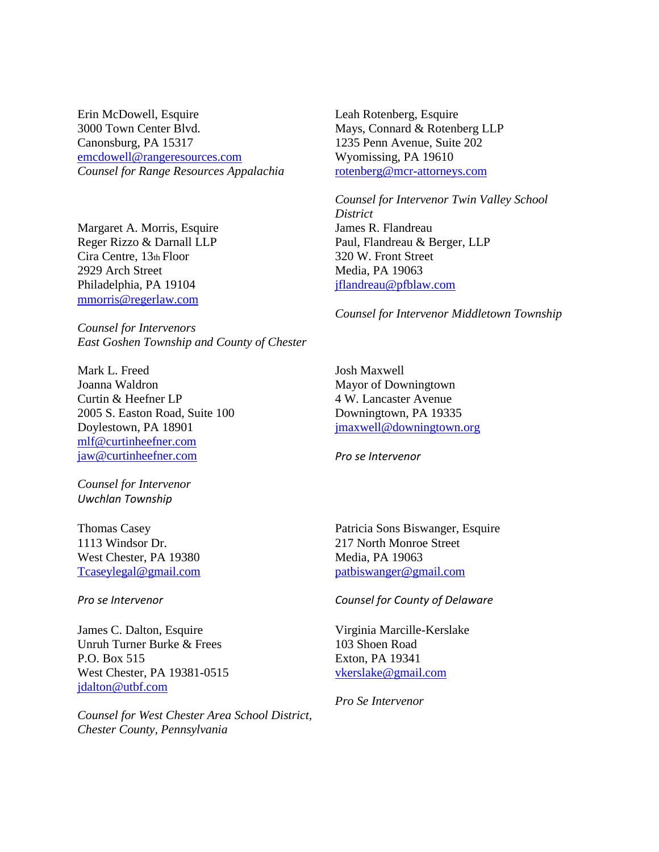Erin McDowell, Esquire 3000 Town Center Blvd. Canonsburg, PA 15317 [emcdowell@rangeresources.com](mailto:emcdowell@rangeresources.com) *Counsel for Range Resources Appalachia* 

Margaret A. Morris, Esquire Reger Rizzo & Darnall LLP Cira Centre, 13th Floor 2929 Arch Street Philadelphia, PA 19104 [mmorris@regerlaw.com](mailto:mmorris@regerlaw.com)

*Counsel for Intervenors East Goshen Township and County of Chester* 

Mark L. Freed Joanna Waldron Curtin & Heefner LP 2005 S. Easton Road, Suite 100 Doylestown, PA 18901 [mlf@curtinheefner.com](mailto:mlf@curtinheefner.com) [jaw@curtinheefner.com](mailto:jaw@curtinheefner.com)

*Counsel for Intervenor Uwchlan Township* 

Thomas Casey 1113 Windsor Dr. West Chester, PA 19380 [Tcaseylegal@gmail.com](mailto:Tcaseylegal@gmail.com)

*Pro se Intervenor* 

James C. Dalton, Esquire Unruh Turner Burke & Frees P.O. Box 515 West Chester, PA 19381-0515 [jdalton@utbf.com](mailto:jdalton@utbf.com)

*Counsel for West Chester Area School District, Chester County, Pennsylvania* 

Leah Rotenberg, Esquire Mays, Connard & Rotenberg LLP 1235 Penn Avenue, Suite 202 Wyomissing, PA 19610 [rotenberg@mcr-attorneys.com](mailto:rotenberg@mcr-attorneys.com)

*Counsel for Intervenor Twin Valley School District*  James R. Flandreau Paul, Flandreau & Berger, LLP 320 W. Front Street Media, PA 19063 [jflandreau@pfblaw.com](mailto:jflandreau@pfblaw.com)

*Counsel for Intervenor Middletown Township*

Josh Maxwell Mayor of Downingtown 4 W. Lancaster Avenue Downingtown, PA 19335 [jmaxwell@downingtown.org](mailto:jmaxwell@downingtown.org)

*Pro se Intervenor* 

Patricia Sons Biswanger, Esquire 217 North Monroe Street Media, PA 19063 [patbiswanger@gmail.com](mailto:patbiswanger@gmail.com)

## *Counsel for County of Delaware*

Virginia Marcille-Kerslake 103 Shoen Road Exton, PA 19341 [vkerslake@gmail.com](mailto:vkerslake@gmail.com)

*Pro Se Intervenor*